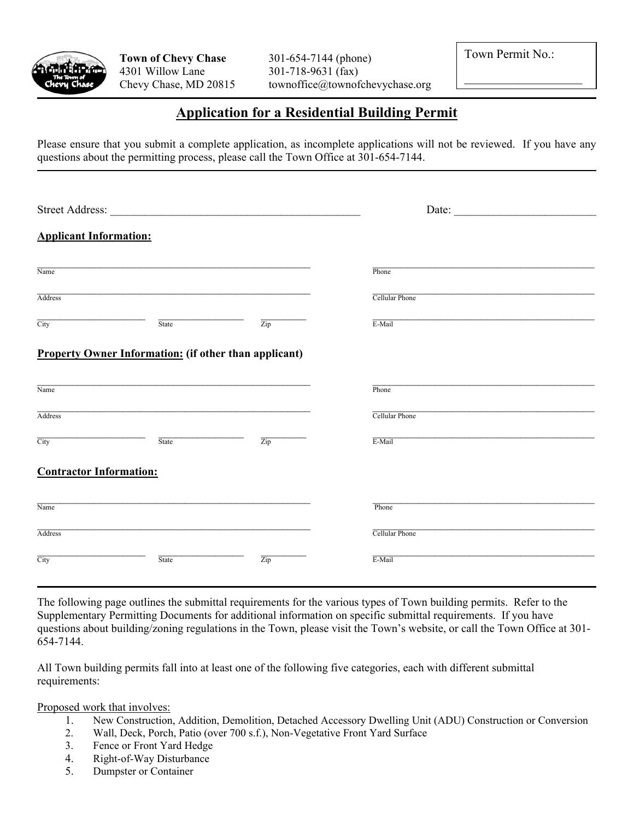

Chevy Chase, MD 20815 townoffice@townofchevychase.org

Town Permit No.:

# **Application for a Residential Building Permit**

Please ensure that you submit a complete application, as incomplete applications will not be reviewed. If you have any questions about the permitting process, please call the Town Office at 301-654-7144.

| <b>Street Address:</b>         |                                                                                                                                                                                                                                                          |  | Date: |  |
|--------------------------------|----------------------------------------------------------------------------------------------------------------------------------------------------------------------------------------------------------------------------------------------------------|--|-------|--|
| <b>Applicant Information:</b>  | Phone<br><b>Cellular Phone</b><br>$\overline{\mathrm{Zip}}$<br>E-Mail<br>State<br><b>Property Owner Information:</b> (if other than applicant)<br>Phone<br>Cellular Phone<br>Zip<br>E-Mail<br>State<br>Phone<br>Cellular Phone<br>Zip<br>E-Mail<br>State |  |       |  |
| Name                           |                                                                                                                                                                                                                                                          |  |       |  |
| Address                        |                                                                                                                                                                                                                                                          |  |       |  |
| City                           |                                                                                                                                                                                                                                                          |  |       |  |
|                                |                                                                                                                                                                                                                                                          |  |       |  |
| Name                           |                                                                                                                                                                                                                                                          |  |       |  |
| Address                        |                                                                                                                                                                                                                                                          |  |       |  |
| City                           |                                                                                                                                                                                                                                                          |  |       |  |
| <b>Contractor Information:</b> |                                                                                                                                                                                                                                                          |  |       |  |
| Name                           |                                                                                                                                                                                                                                                          |  |       |  |
| Address                        |                                                                                                                                                                                                                                                          |  |       |  |
| City                           |                                                                                                                                                                                                                                                          |  |       |  |

The following page outlines the submittal requirements for the various types of Town building permits. Refer to the Supplementary Permitting Documents for additional information on specific submittal requirements. If you have questions about building/zoning regulations in the Town, please visit the Town's website, or call the Town Office at 301- 654-7144.

All Town building permits fall into at least one of the following five categories, each with different submittal requirements:

Proposed work that involves:

- 1. New Construction, Addition, Demolition, Detached Accessory Dwelling Unit (ADU) Construction or Conversion
- 2. Wall, Deck, Porch, Patio (over 700 s.f.), Non-Vegetative Front Yard Surface
- 3. Fence or Front Yard Hedge
- 4. Right-of-Way Disturbance
- 5. Dumpster or Container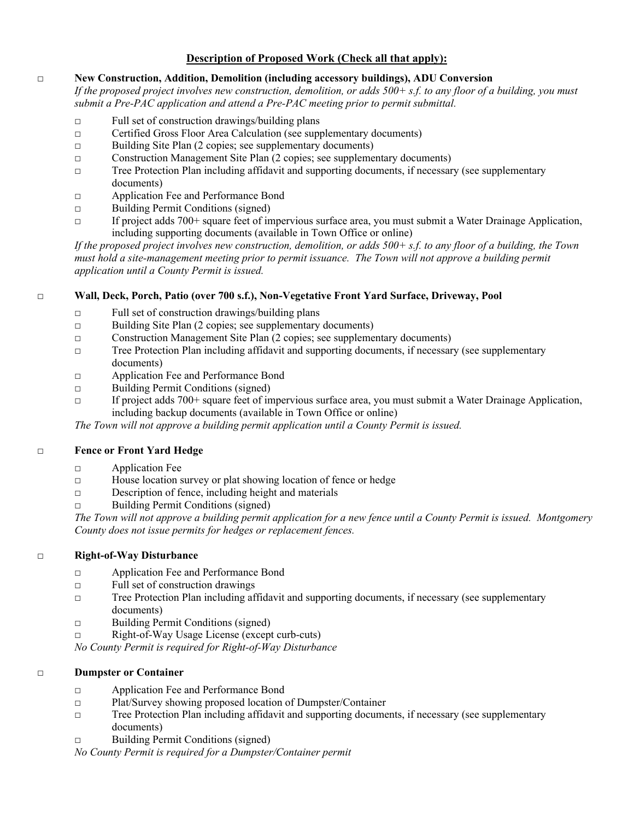### **Description of Proposed Work (Check all that apply):**

#### □ **New Construction, Addition, Demolition (including accessory buildings), ADU Conversion**

*If the proposed project involves new construction, demolition, or adds 500+ s.f. to any floor of a building, you must submit a Pre-PAC application and attend a Pre-PAC meeting prior to permit submittal.* 

- □ Full set of construction drawings/building plans
- □ Certified Gross Floor Area Calculation (see supplementary documents)
- □ Building Site Plan (2 copies; see supplementary documents)
- □ Construction Management Site Plan (2 copies; see supplementary documents)
- □ Tree Protection Plan including affidavit and supporting documents, if necessary (see supplementary documents)
- □ Application Fee and Performance Bond
- □ Building Permit Conditions (signed)
- □ If project adds 700+ square feet of impervious surface area, you must submit a Water Drainage Application, including supporting documents (available in Town Office or online)

*If the proposed project involves new construction, demolition, or adds 500+ s.f. to any floor of a building, the Town*  must hold a site-management meeting prior to permit issuance. The Town will not approve a building permit *application until a County Permit is issued.*

### □ **Wall, Deck, Porch, Patio (over 700 s.f.), Non-Vegetative Front Yard Surface, Driveway, Pool**

- □ Full set of construction drawings/building plans
- □ Building Site Plan (2 copies; see supplementary documents)
- □ Construction Management Site Plan (2 copies; see supplementary documents)
- □ Tree Protection Plan including affidavit and supporting documents, if necessary (see supplementary documents)
- □ Application Fee and Performance Bond
- □ Building Permit Conditions (signed)
- $\Box$  If project adds 700+ square feet of impervious surface area, you must submit a Water Drainage Application, including backup documents (available in Town Office or online)

*The Town will not approve a building permit application until a County Permit is issued.* 

#### □ **Fence or Front Yard Hedge**

- □ Application Fee
- □ House location survey or plat showing location of fence or hedge
- $\Box$  Description of fence, including height and materials
- □ Building Permit Conditions (signed)

*The Town will not approve a building permit application for a new fence until a County Permit is issued. Montgomery County does not issue permits for hedges or replacement fences.* 

#### □ **Right-of-Way Disturbance**

- □ Application Fee and Performance Bond
- □ Full set of construction drawings
- □ Tree Protection Plan including affidavit and supporting documents, if necessary (see supplementary documents)
- □ Building Permit Conditions (signed)
- □ Right-of-Way Usage License (except curb-cuts)

*No County Permit is required for Right-of-Way Disturbance* 

#### □ **Dumpster or Container**

- □ Application Fee and Performance Bond
- □ Plat/Survey showing proposed location of Dumpster/Container
- □ Tree Protection Plan including affidavit and supporting documents, if necessary (see supplementary documents)
- □ Building Permit Conditions (signed)

*No County Permit is required for a Dumpster/Container permit*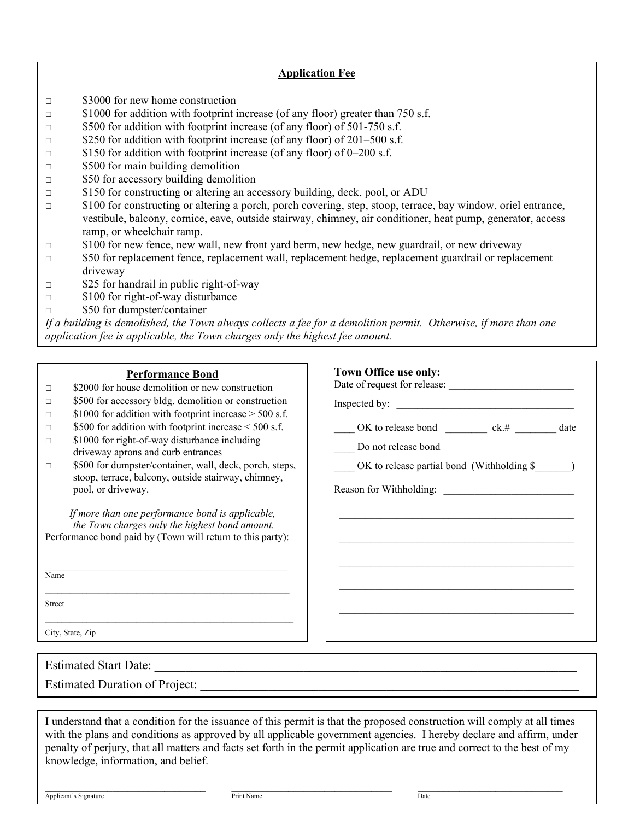### **Application Fee**

- □ \$3000 for new home construction
- □ \$1000 for addition with footprint increase (of any floor) greater than 750 s.f.
- □ \$500 for addition with footprint increase (of any floor) of 501-750 s.f.
- $\Box$  \$250 for addition with footprint increase (of any floor) of 201–500 s.f.
- □ \$150 for addition with footprint increase (of any floor) of 0–200 s.f.
- $\Box$  \$500 for main building demolition
- $\Box$  \$50 for accessory building demolition
- □ \$150 for constructing or altering an accessory building, deck, pool, or ADU
- □ \$100 for constructing or altering a porch, porch covering, step, stoop, terrace, bay window, oriel entrance, vestibule, balcony, cornice, eave, outside stairway, chimney, air conditioner, heat pump, generator, access ramp, or wheelchair ramp.
- □ \$100 for new fence, new wall, new front yard berm, new hedge, new guardrail, or new driveway
- □ \$50 for replacement fence, replacement wall, replacement hedge, replacement guardrail or replacement driveway
- $\Box$  \$25 for handrail in public right-of-way
- □ \$100 for right-of-way disturbance
- □ \$50 for dumpster/container

*If a building is demolished, the Town always collects a fee for a demolition permit. Otherwise, if more than one application fee is applicable, the Town charges only the highest fee amount.* 

#### **Performance Bond**

- □ \$2000 for house demolition or new construction
- □ \$500 for accessory bldg. demolition or construction
- $\Box$  \$1000 for addition with footprint increase > 500 s.f.
- $\Box$  \$500 for addition with footprint increase < 500 s.f.
- $\Box$  \$1000 for right-of-way disturbance including driveway aprons and curb entrances
- □ \$500 for dumpster/container, wall, deck, porch, steps, stoop, terrace, balcony, outside stairway, chimney, pool, or driveway.

*If more than one performance bond is applicable, the Town charges only the highest bond amount.* Performance bond paid by (Town will return to this party):

Name

Street

City, State, Zip

| Town Office use only:                           |  |
|-------------------------------------------------|--|
|                                                 |  |
| OK to release bond ck.# __________ date         |  |
| Do not release bond                             |  |
| $OK$ to release partial bond (Withholding $\$ ) |  |
|                                                 |  |
|                                                 |  |
|                                                 |  |
|                                                 |  |
|                                                 |  |
|                                                 |  |
|                                                 |  |

Estimated Start Date: Estimated Duration of Project:

I understand that a condition for the issuance of this permit is that the proposed construction will comply at all times with the plans and conditions as approved by all applicable government agencies. I hereby declare and affirm, under penalty of perjury, that all matters and facts set forth in the permit application are true and correct to the best of my knowledge, information, and belief.

Applicant's Signature Date Date Print Name Print Name Date Print Name Date

 $\mathcal{L}_\mathcal{L} = \mathcal{L}_\mathcal{L} = \mathcal{L}_\mathcal{L} = \mathcal{L}_\mathcal{L} = \mathcal{L}_\mathcal{L} = \mathcal{L}_\mathcal{L} = \mathcal{L}_\mathcal{L} = \mathcal{L}_\mathcal{L} = \mathcal{L}_\mathcal{L} = \mathcal{L}_\mathcal{L} = \mathcal{L}_\mathcal{L} = \mathcal{L}_\mathcal{L} = \mathcal{L}_\mathcal{L} = \mathcal{L}_\mathcal{L} = \mathcal{L}_\mathcal{L} = \mathcal{L}_\mathcal{L} = \mathcal{L}_\mathcal{L}$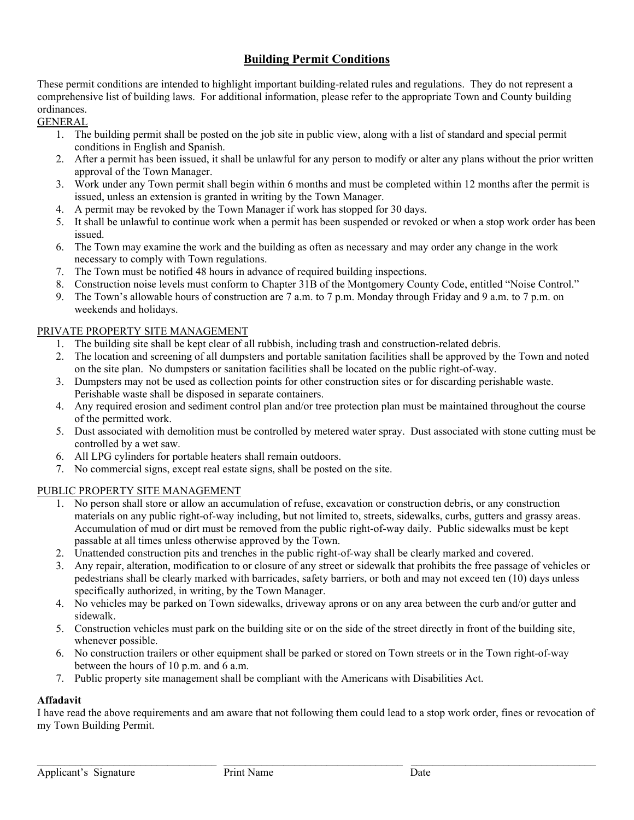## **Building Permit Conditions**

These permit conditions are intended to highlight important building-related rules and regulations. They do not represent a comprehensive list of building laws. For additional information, please refer to the appropriate Town and County building ordinances.

GENERAL

- 1. The building permit shall be posted on the job site in public view, along with a list of standard and special permit conditions in English and Spanish.
- 2. After a permit has been issued, it shall be unlawful for any person to modify or alter any plans without the prior written approval of the Town Manager.
- 3. Work under any Town permit shall begin within 6 months and must be completed within 12 months after the permit is issued, unless an extension is granted in writing by the Town Manager.
- 4. A permit may be revoked by the Town Manager if work has stopped for 30 days.
- 5. It shall be unlawful to continue work when a permit has been suspended or revoked or when a stop work order has been issued.
- 6. The Town may examine the work and the building as often as necessary and may order any change in the work necessary to comply with Town regulations.
- 7. The Town must be notified 48 hours in advance of required building inspections.
- 8. Construction noise levels must conform to Chapter 31B of the Montgomery County Code, entitled "Noise Control."
- 9. The Town's allowable hours of construction are 7 a.m. to 7 p.m. Monday through Friday and 9 a.m. to 7 p.m. on weekends and holidays.

### PRIVATE PROPERTY SITE MANAGEMENT

- 1. The building site shall be kept clear of all rubbish, including trash and construction-related debris.
- 2. The location and screening of all dumpsters and portable sanitation facilities shall be approved by the Town and noted on the site plan. No dumpsters or sanitation facilities shall be located on the public right-of-way.
- 3. Dumpsters may not be used as collection points for other construction sites or for discarding perishable waste. Perishable waste shall be disposed in separate containers.
- 4. Any required erosion and sediment control plan and/or tree protection plan must be maintained throughout the course of the permitted work.
- 5. Dust associated with demolition must be controlled by metered water spray. Dust associated with stone cutting must be controlled by a wet saw.
- 6. All LPG cylinders for portable heaters shall remain outdoors.
- 7. No commercial signs, except real estate signs, shall be posted on the site.

#### PUBLIC PROPERTY SITE MANAGEMENT

- 1. No person shall store or allow an accumulation of refuse, excavation or construction debris, or any construction materials on any public right-of-way including, but not limited to, streets, sidewalks, curbs, gutters and grassy areas. Accumulation of mud or dirt must be removed from the public right-of-way daily. Public sidewalks must be kept passable at all times unless otherwise approved by the Town.
- 2. Unattended construction pits and trenches in the public right-of-way shall be clearly marked and covered.
- 3. Any repair, alteration, modification to or closure of any street or sidewalk that prohibits the free passage of vehicles or pedestrians shall be clearly marked with barricades, safety barriers, or both and may not exceed ten (10) days unless specifically authorized, in writing, by the Town Manager.
- 4. No vehicles may be parked on Town sidewalks, driveway aprons or on any area between the curb and/or gutter and sidewalk.
- 5. Construction vehicles must park on the building site or on the side of the street directly in front of the building site, whenever possible.
- 6. No construction trailers or other equipment shall be parked or stored on Town streets or in the Town right-of-way between the hours of 10 p.m. and 6 a.m.
- 7. Public property site management shall be compliant with the Americans with Disabilities Act.

## **Affadavit**

I have read the above requirements and am aware that not following them could lead to a stop work order, fines or revocation of my Town Building Permit.

 $\mathcal{L}_\text{max} = \frac{1}{2} \sum_{i=1}^n \mathcal{L}_\text{max} = \frac{1}{2} \sum_{i=1}^n \mathcal{L}_\text{max} = \frac{1}{2} \sum_{i=1}^n \mathcal{L}_\text{max} = \frac{1}{2} \sum_{i=1}^n \mathcal{L}_\text{max} = \frac{1}{2} \sum_{i=1}^n \mathcal{L}_\text{max} = \frac{1}{2} \sum_{i=1}^n \mathcal{L}_\text{max} = \frac{1}{2} \sum_{i=1}^n \mathcal{L}_\text{max} = \frac{1}{2} \sum_{i=$